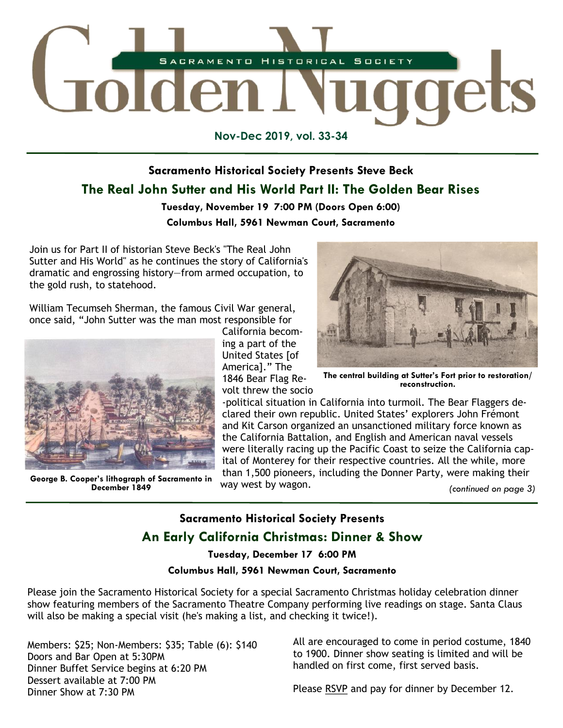

**Nov-Dec 2019, vol. 33-34**

# **Sacramento Historical Society Presents Steve Beck The Real John Sutter and His World Part II: The Golden Bear Rises**

## **Tuesday, November 19 7:00 PM (Doors Open 6:00) Columbus Hall, 5961 Newman Court, Sacramento**

Join us for Part II of historian Steve Beck's "The Real John Sutter and His World" as he continues the story of California's dramatic and engrossing history—from armed occupation, to the gold rush, to statehood.

William Tecumseh Sherman, the famous Civil War general, once said, "John Sutter was the man most responsible for



**George B. Cooper's lithograph of Sacramento in December 1849**

California becoming a part of the United States [of America]." The 1846 Bear Flag Revolt threw the socio



**The central building at Sutter's Fort prior to restoration/ reconstruction.**

-political situation in California into turmoil. The Bear Flaggers declared their own republic. United States' explorers John Frémont and Kit Carson organized an unsanctioned military force known as the California Battalion, and English and American naval vessels were literally racing up the Pacific Coast to seize the California capital of Monterey for their respective countries. All the while, more than 1,500 pioneers, including the Donner Party, were making their way west by wagon.

*(continued on page 3)*

## **Sacramento Historical Society Presents**

## **An Early California Christmas: Dinner & Show**

**Tuesday, December 17 6:00 PM**

### **Columbus Hall, 5961 Newman Court, Sacramento**

Please join the Sacramento Historical Society for a special Sacramento Christmas holiday celebration dinner show featuring members of the Sacramento Theatre Company performing live readings on stage. Santa Claus will also be making a special visit (he's making a list, and checking it twice!).

Members: \$25; Non-Members: \$35; Table (6): \$140 Doors and Bar Open at 5:30PM Dinner Buffet Service begins at 6:20 PM Dessert available at 7:00 PM Dinner Show at 7:30 PM

All are encouraged to come in period costume, 1840 to 1900. Dinner show seating is limited and will be handled on first come, first served basis.

Please [RSVP](https://www.sachistoricalsociety.org/events-1/an-early-california-christmas-dinner-show) and pay for dinner by December 12.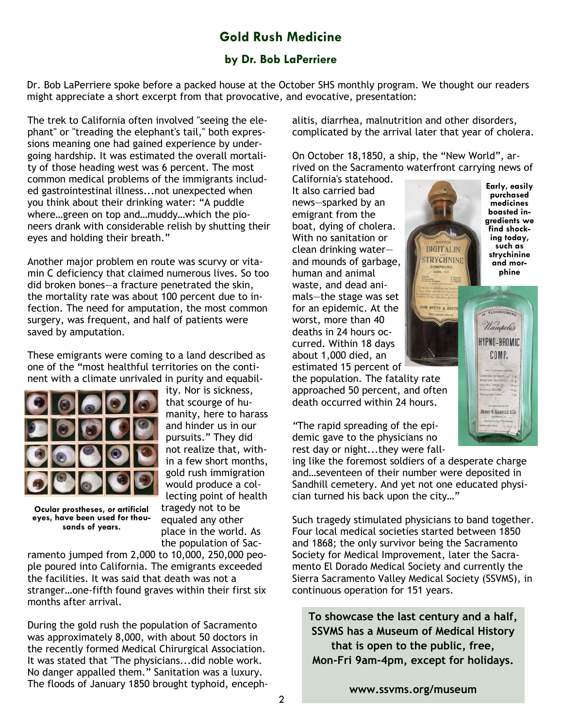# **Gold Rush Medicine**

## **by Dr. Bob LaPerriere**

Dr. Bob LaPerriere spoke before a packed house at the October SHS monthly program. We thought our readers might appreciate a short excerpt from that provocative, and evocative, presentation:

The trek to California often involved "seeing the elephant" or "treading the elephant's tail," both expressions meaning one had gained experience by undergoing hardship. It was estimated the overall mortality of those heading west was 6 percent. The most common medical problems of the immigrants included gastrointestinal illness...not unexpected when you think about their drinking water: "A puddle where…green on top and…muddy…which the pioneers drank with considerable relish by shutting their eyes and holding their breath."

Another major problem en route was scurvy or vitamin C deficiency that claimed numerous lives. So too did broken bones—a fracture penetrated the skin, the mortality rate was about 100 percent due to infection. The need for amputation, the most common surgery, was frequent, and half of patients were saved by amputation.

These emigrants were coming to a land described as one of the "most healthful territories on the continent with a climate unrivaled in purity and equabil-



ity. Nor is sickness, that scourge of humanity, here to harass and hinder us in our pursuits." They did not realize that, within a few short months, gold rush immigration would produce a collecting point of health tragedy not to be equaled any other place in the world. As

**Ocular prostheses, or artificial eyes, have been used for thousands of years.**

the population of Sacramento jumped from 2,000 to 10,000, 250,000 people poured into California. The emigrants exceeded the facilities. It was said that death was not a stranger…one-fifth found graves within their first six months after arrival.

During the gold rush the population of Sacramento was approximately 8,000, with about 50 doctors in the recently formed Medical Chirurgical Association. It was stated that "The physicians...did noble work. No danger appalled them." Sanitation was a luxury. The floods of January 1850 brought typhoid, encephalitis, diarrhea, malnutrition and other disorders, complicated by the arrival later that year of cholera.

On October 18,1850, a ship, the "New World", arrived on the Sacramento waterfront carrying news of

> **DIGITALIN STRYCHNINE**

California's statehood. It also carried bad news—sparked by an emigrant from the boat, dying of cholera. With no sanitation or clean drinking water and mounds of garbage, human and animal waste, and dead animals—the stage was set for an epidemic. At the worst, more than 40 deaths in 24 hours occurred. Within 18 days about 1,000 died, an estimated 15 percent of

the population. The fatality rate approached 50 percent, and often death occurred within 24 hours.

*"*The rapid spreading of the epidemic gave to the physicians no rest day or night...they were fall-

ing like the foremost soldiers of a desperate charge and…seventeen of their number were deposited in Sandhill cemetery. And yet not one educated physician turned his back upon the city…"

Such tragedy stimulated physicians to band together. Four local medical societies started between 1850 and 1868; the only survivor being the Sacramento Society for Medical Improvement, later the Sacramento El Dorado Medical Society and currently the Sierra Sacramento Valley Medical Society (SSVMS), in continuous operation for 151 years.

**To showcase the last century and a half, SSVMS has a Museum of Medical History that is open to the public, free, Mon-Fri 9am-4pm, except for holidays.** 

**[www.ssvms.org/museum](http://www.ssvms.org/museum.aspx)**

**Early, easily purchased medicines boasted ingredients we find shocking today, such as strychinine and morphine**

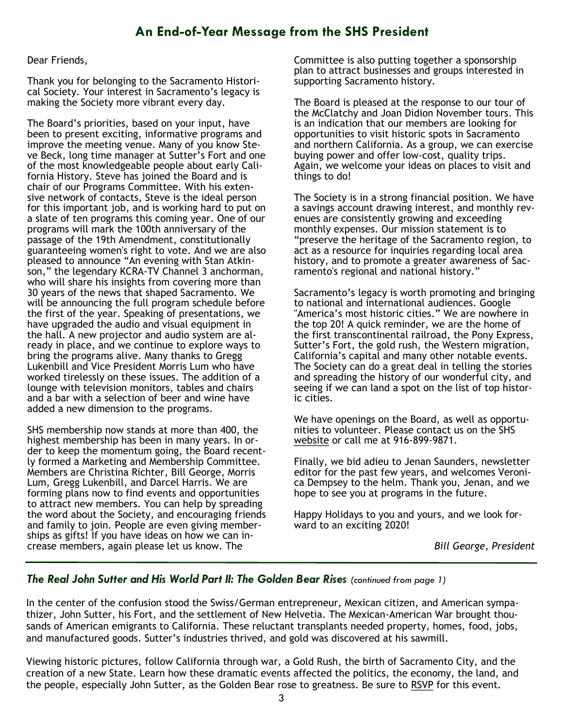# **An End-of-Year Message from the SHS President**

#### Dear Friends,

Thank you for belonging to the Sacramento Historical Society. Your interest in Sacramento's legacy is making the Society more vibrant every day.

The Board's priorities, based on your input, have been to present exciting, informative programs and improve the meeting venue. Many of you know Steve Beck, long time manager at Sutter's Fort and one of the most knowledgeable people about early California History. Steve has joined the Board and is chair of our Programs Committee. With his extensive network of contacts, Steve is the ideal person for this important job, and is working hard to put on a slate of ten programs this coming year. One of our programs will mark the 100th anniversary of the passage of the 19th Amendment, constitutionally guaranteeing women's right to vote. And we are also pleased to announce "An evening with Stan Atkinson," the legendary KCRA-TV Channel 3 anchorman, who will share his insights from covering more than 30 years of the news that shaped Sacramento. We will be announcing the full program schedule before the first of the year. Speaking of presentations, we have upgraded the audio and visual equipment in the hall. A new projector and audio system are already in place, and we continue to explore ways to bring the programs alive. Many thanks to Gregg Lukenbill and Vice President Morris Lum who have worked tirelessly on these issues. The addition of a lounge with television monitors, tables and chairs and a bar with a selection of beer and wine have added a new dimension to the programs.

SHS membership now stands at more than 400, the highest membership has been in many years. In order to keep the momentum going, the Board recently formed a Marketing and Membership Committee. Members are Christina Richter, Bill George, Morris Lum, Gregg Lukenbill, and Darcel Harris. We are forming plans now to find events and opportunities to attract new members. You can help by spreading the word about the Society, and encouraging friends and family to join. People are even giving memberships as gifts! If you have ideas on how we can increase members, again please let us know. The

Committee is also putting together a sponsorship plan to attract businesses and groups interested in supporting Sacramento history.

The Board is pleased at the response to our tour of the McClatchy and Joan Didion November tours. This is an indication that our members are looking for opportunities to visit historic spots in Sacramento and northern California. As a group, we can exercise buying power and offer low-cost, quality trips. Again, we welcome your ideas on places to visit and things to do!

The Society is in a strong financial position. We have a savings account drawing interest, and monthly revenues are consistently growing and exceeding monthly expenses. Our mission statement is to "preserve the heritage of the Sacramento region, to act as a resource for inquiries regarding local area history, and to promote a greater awareness of Sacramento's regional and national history."

Sacramento's legacy is worth promoting and bringing to national and international audiences. Google "America's most historic cities." We are nowhere in the top 20! A quick reminder, we are the home of the first transcontinental railroad, the Pony Express, Sutter's Fort, the gold rush, the Western migration, California's capital and many other notable events. The Society can do a great deal in telling the stories and spreading the history of our wonderful city, and seeing if we can land a spot on the list of top historic cities.

We have openings on the Board, as well as opportunities to volunteer. Please contact us on the SHS [website](https://www.sachistoricalsociety.org/contact-us) or call me at 916-899-9871.

Finally, we bid adieu to Jenan Saunders, newsletter editor for the past few years, and welcomes Veronica Dempsey to the helm. Thank you, Jenan, and we hope to see you at programs in the future.

Happy Holidays to you and yours, and we look forward to an exciting 2020!

*Bill George, President*

## *The Real John Sutter and His World Part II: The Golden Bear Rises (continued from page 1)*

In the center of the confusion stood the Swiss/German entrepreneur, Mexican citizen, and American sympathizer, John Sutter, his Fort, and the settlement of New Helvetia. The Mexican-American War brought thousands of American emigrants to California. These reluctant transplants needed property, homes, food, jobs, and manufactured goods. Sutter's industries thrived, and gold was discovered at his sawmill.

Viewing historic pictures, follow California through war, a Gold Rush, the birth of Sacramento City, and the creation of a new State. Learn how these dramatic events affected the politics, the economy, the land, and the people, especially John Sutter, as the Golden Bear rose to greatness. Be sure to [RSVP](https://www.sachistoricalsociety.org/events-1/the-real-john-sutter-and-his-world-part-ii-the-golden-bear-rises) for this event.